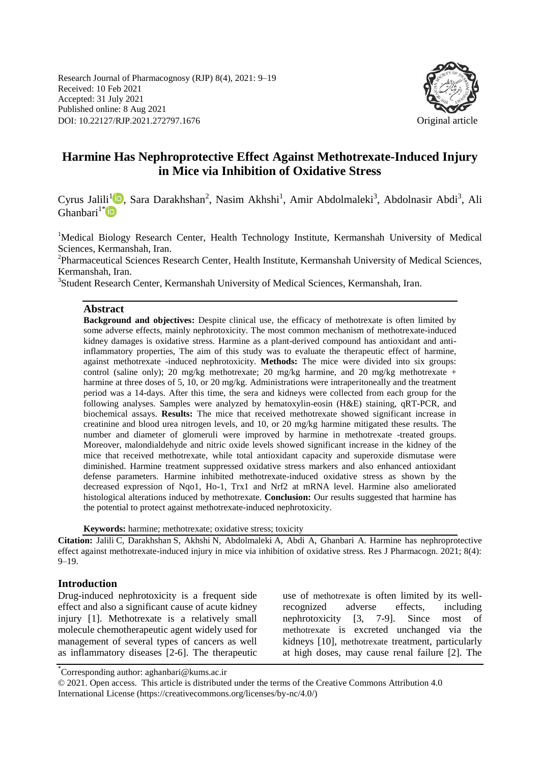Research Journal of Pharmacognosy (RJP) 8(4), 2021: 9–19 Received: 10 Feb 2021 Accepted: 31 July 2021 Published online: 8 Aug 2021 DOI: 10.22127/RJP.2021.272797.1676 Original article



# **Harmine Has Nephroprotective Effect Against Methotrexate-Induced Injury in Mice via Inhibition of Oxidative Stress**

Cyrus Jalili<sup>[1](https://orcid.org/0000-0002-5097-7974)</sup><sup>D</sup>, Sara Darakhshan<sup>2</sup>, Nasim Akhshi<sup>1</sup>, Amir Abdolmaleki<sup>3</sup>, Abdolnasir Abdi<sup>3</sup>, Ali  $Gh$ anbari<sup>1[\\*](https://orcid.org/0000-0002-8080-2809)</sup>

<sup>1</sup>Medical Biology Research Center, Health Technology Institute, Kermanshah University of Medical Sciences, Kermanshah, Iran.

<sup>2</sup>Pharmaceutical Sciences Research Center, Health Institute, Kermanshah University of Medical Sciences, Kermanshah, Iran.

<sup>3</sup>Student Research Center, Kermanshah University of Medical Sciences, Kermanshah, Iran.

### **Abstract**

**Background and objectives:** Despite clinical use, the efficacy of methotrexate is often limited by some adverse effects, mainly nephrotoxicity. The most common mechanism of methotrexate-induced kidney damages is oxidative stress. Harmine as a plant-derived compound has antioxidant and antiinflammatory properties, The aim of this study was to evaluate the therapeutic effect of harmine, against methotrexate -induced nephrotoxicity. **Methods:** The mice were divided into six groups: control (saline only); 20 mg/kg methotrexate; 20 mg/kg harmine, and 20 mg/kg methotrexate + harmine at three doses of 5, 10, or 20 mg/kg. Administrations were intraperitoneally and the treatment period was a 14-days. After this time, the sera and kidneys were collected from each group for the following analyses. Samples were analyzed by hematoxylin-eosin (H&E) staining, qRT-PCR, and biochemical assays. **Results:** The mice that received methotrexate showed significant increase in creatinine and blood urea nitrogen levels, and 10, or 20 mg/kg harmine mitigated these results. The number and diameter of glomeruli were improved by harmine in methotrexate -treated groups. Moreover, malondialdehyde and nitric oxide levels showed significant increase in the kidney of the mice that received methotrexate, while total antioxidant capacity and superoxide dismutase were diminished. Harmine treatment suppressed oxidative stress markers and also enhanced antioxidant defense parameters. Harmine inhibited methotrexate-induced oxidative stress as shown by the decreased expression of Nqo1, Ho-1, Trx1 and Nrf2 at mRNA level. Harmine also ameliorated histological alterations induced by methotrexate. **Conclusion:** Our results suggested that harmine has the potential to protect against methotrexate-induced nephrotoxicity.

**Keywords:** harmine; methotrexate; oxidative stress; toxicity

**Citation:** Jalili C, Darakhshan S, Akhshi N, Abdolmaleki A, Abdi A, Ghanbari A. Harmine has nephroprotective effect against methotrexate-induced injury in mice via inhibition of oxidative stress. Res J Pharmacogn. 2021; 8(4):  $9 - 19.$ 

### **Introduction**

Drug-induced nephrotoxicity is a frequent side effect and also a significant cause of acute kidney injury [1]. Methotrexate is a relatively small molecule chemotherapeutic agent widely used for management of several types of cancers as well as inflammatory diseases [2-6]. The therapeutic use of methotrexate is often limited by its wellrecognized adverse effects, including nephrotoxicity [3, 7-9]. Since most of methotrexate is excreted unchanged via the kidneys [10], methotrexate treatment, particularly at high doses, may cause renal failure [2]. The

<sup>\*</sup> Corresponding author: aghanbari@kums.ac.ir

<sup>© 2021.</sup> Open access. This article is distributed under the terms of the Creative Commons Attribution 4.0 International License (https://creativecommons.org/licenses/by-nc/4.0/)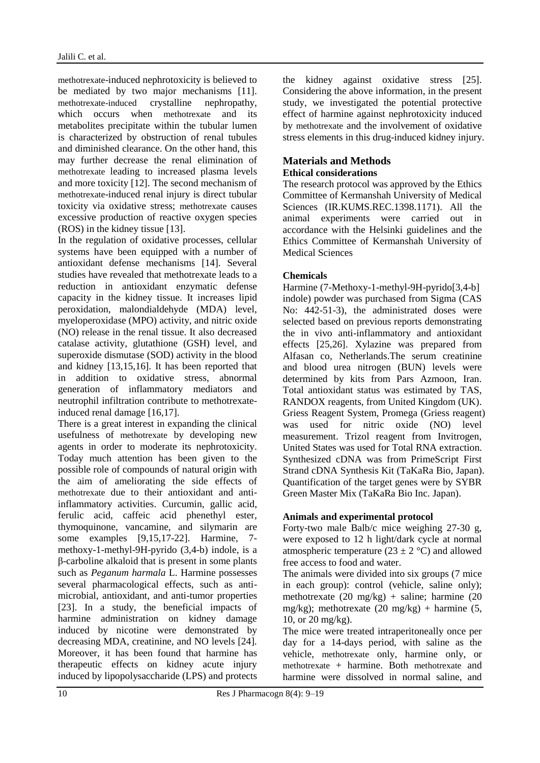methotrexate-induced nephrotoxicity is believed to be mediated by two major mechanisms [11]. methotrexate-induced crystalline nephropathy, which occurs when methotrexate and its metabolites precipitate within the tubular lumen is characterized by obstruction of renal tubules and diminished clearance. On the other hand, this may further decrease the renal elimination of methotrexate leading to increased plasma levels and more toxicity [12]. The second mechanism of methotrexate-induced renal injury is direct tubular toxicity via oxidative stress; methotrexate causes excessive production of reactive oxygen species (ROS) in the kidney tissue [13].

In the regulation of oxidative processes, cellular systems have been equipped with a number of antioxidant defense mechanisms [14]. Several studies have revealed that methotrexate leads to a reduction in antioxidant enzymatic defense capacity in the kidney tissue. It increases lipid peroxidation, malondialdehyde (MDA) level, myeloperoxidase (MPO) activity, and nitric oxide (NO) release in the renal tissue. It also decreased catalase activity, glutathione (GSH) level, and superoxide dismutase (SOD) activity in the blood and kidney [13,15,16]. It has been reported that in addition to oxidative stress, abnormal generation of inflammatory mediators and neutrophil infiltration contribute to methotrexateinduced renal damage [16,17].

There is a great interest in expanding the clinical usefulness of methotrexate by developing new agents in order to moderate its nephrotoxicity. Today much attention has been given to the possible role of compounds of natural origin with the aim of ameliorating the side effects of methotrexate due to their antioxidant and antiinflammatory activities. Curcumin, gallic acid, ferulic acid, caffeic acid phenethyl ester, thymoquinone, vancamine, and silymarin are some examples [9,15,17-22]. Harmine, 7 methoxy-1-methyl-9H-pyrido (3,4-b) indole, is a β-carboline alkaloid that is present in some plants such as *Peganum harmala* L. Harmine possesses several pharmacological effects, such as antimicrobial, antioxidant, and anti-tumor properties [23]. In a study, the beneficial impacts of harmine administration on kidney damage induced by nicotine were demonstrated by decreasing MDA, creatinine, and NO levels [24]. Moreover, it has been found that harmine has therapeutic effects on kidney acute injury induced by lipopolysaccharide (LPS) and protects the kidney against oxidative stress [25]. Considering the above information, in the present study, we investigated the potential protective effect of harmine against nephrotoxicity induced by methotrexate and the involvement of oxidative stress elements in this drug-induced kidney injury.

#### **Materials and Methods Ethical considerations**

The research protocol was approved by the Ethics Committee of Kermanshah University of Medical Sciences [\(IR.KUMS.REC.1398.1171\)](https://ethics.research.ac.ir/PortalProposalList.php?code=IR.KUMS.REC.1398.1171&title=&name=&stat=&isAll=&GlobalBackPage=https%3A%2F%2Fwww.google.com%2F). All the animal experiments were carried out in accordance with the Helsinki guidelines and the Ethics Committee of Kermanshah University of Medical Sciences

## **Chemicals**

Harmine (7-Methoxy-1-methyl-9H-pyrido[3,4-b] indole) powder was purchased from Sigma (CAS No: 442-51-3), the administrated doses were selected based on previous reports demonstrating the in vivo anti-inflammatory and antioxidant effects [25,26]. Xylazine was prepared from Alfasan co, Netherlands.The serum creatinine and blood urea nitrogen (BUN) levels were determined by kits from Pars Azmoon, Iran. Total antioxidant status was estimated by TAS, RANDOX reagents, from United Kingdom (UK). Griess Reagent System, Promega (Griess reagent) was used for nitric oxide (NO) level measurement. Trizol reagent from Invitrogen, United States was used for Total RNA extraction. Synthesized cDNA was from PrimeScript First Strand cDNA Synthesis Kit (TaKaRa Bio, Japan). Quantification of the target genes were by SYBR Green Master Mix (TaKaRa Bio Inc. Japan).

## **Animals and experimental protocol**

Forty-two male Balb/c mice weighing 27-30 g, were exposed to 12 h light/dark cycle at normal atmospheric temperature ( $23 \pm 2$  °C) and allowed free access to food and water.

The animals were divided into six groups (7 mice in each group): control (vehicle, saline only); methotrexate  $(20 \text{ mg/kg}) + \text{saline}$ ; harmine  $(20 \text{ mg/kg})$ mg/kg); methotrexate  $(20 \text{ mg/kg})$  + harmine  $(5,$ 10, or 20 mg/kg).

The mice were treated intraperitoneally once per day for a 14-days period, with saline as the vehicle, methotrexate only, harmine only, or methotrexate + harmine. Both methotrexate and harmine were dissolved in normal saline, and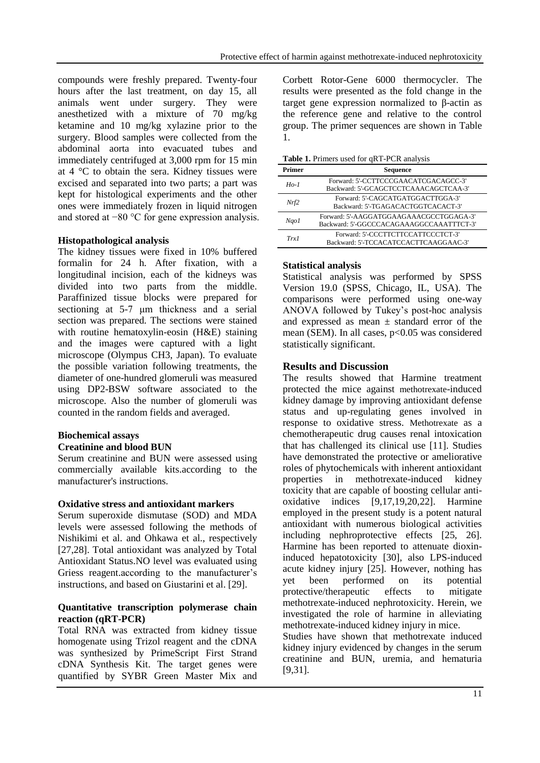compounds were freshly prepared. Twenty-four hours after the last treatment, on day 15, all animals went under surgery. They were anesthetized with a mixture of 70 mg/kg ketamine and 10 mg/kg xylazine prior to the surgery. Blood samples were collected from the abdominal aorta into evacuated tubes and immediately centrifuged at 3,000 rpm for 15 min at 4 °C to obtain the sera. Kidney tissues were excised and separated into two parts; a part was kept for histological experiments and the other ones were immediately frozen in liquid nitrogen and stored at −80 °C for gene expression analysis.

## **Histopathological analysis**

The kidney tissues were fixed in 10% buffered formalin for 24 h. After fixation, with a longitudinal incision, each of the kidneys was divided into two parts from the middle. Paraffinized tissue blocks were prepared for sectioning at 5-7 μm thickness and a serial section was prepared. The sections were stained with routine hematoxylin-eosin (H&E) staining and the images were captured with a light microscope (Olympus CH3, Japan). To evaluate the possible variation following treatments, the diameter of one-hundred glomeruli was measured using DP2-BSW software associated to the microscope. Also the number of glomeruli was counted in the random fields and averaged.

## **Biochemical assays**

### **Creatinine and blood BUN**

Serum creatinine and BUN were assessed using commercially available kits.according to the manufacturer's instructions.

### **Oxidative stress and antioxidant markers**

Serum superoxide dismutase (SOD) and MDA levels were assessed following the methods of Nishikimi et al. and Ohkawa et al., respectively [27,28]. Total antioxidant was analyzed by Total Antioxidant Status.NO level was evaluated using Griess reagent.according to the manufacturer's instructions, and based on Giustarini et al. [29].

#### **Quantitative transcription polymerase chain reaction (qRT-PCR)**

Total RNA was extracted from kidney tissue homogenate using Trizol reagent and the cDNA was synthesized by PrimeScript First Strand cDNA Synthesis Kit. The target genes were quantified by SYBR Green Master Mix and Corbett Rotor-Gene 6000 thermocycler. The results were presented as the fold change in the target gene expression normalized to β-actin as the reference gene and relative to the control group. The primer sequences are shown in Table 1.

**Table 1.** Primers used for qRT-PCR analysis

| Primer  | <b>Sequence</b>                                                                     |  |  |  |  |
|---------|-------------------------------------------------------------------------------------|--|--|--|--|
| $H_0-1$ | Forward: 5'-CCTTCCCGAACATCGACAGCC-3'<br>Backward: 5'-GCAGCTCCTCAAACAGCTCAA-3'       |  |  |  |  |
| Nrf2    | Forward: 5'-CAGCATGATGGACTTGGA-3'<br>Backward: 5'-TGAGACACTGGTCACACT-3'             |  |  |  |  |
| Ngo1    | Forward: 5'-AAGGATGGAAGAAACGCCTGGAGA-3'<br>Backward: 5'-GGCCCACAGAAAGGCCAAATTTCT-3' |  |  |  |  |
| Trx1    | Forward: 5'-CCCTTCTTCCATTCCCTCT-3'<br>Backward: 5'-TCCACATCCACTTCAAGGAAC-3'         |  |  |  |  |

## **Statistical analysis**

Statistical analysis was performed by SPSS Version 19.0 (SPSS, Chicago, IL, USA). The comparisons were performed using one-way ANOVA followed by Tukey's post-hoc analysis and expressed as mean  $\pm$  standard error of the mean (SEM). In all cases,  $p<0.05$  was considered statistically significant.

## **Results and Discussion**

[9,31].

The results showed that Harmine treatment protected the mice against methotrexate-induced kidney damage by improving antioxidant defense status and up-regulating genes involved in response to oxidative stress. Methotrexate as a chemotherapeutic drug causes renal intoxication that has challenged its clinical use [11]. Studies have demonstrated the protective or ameliorative roles of phytochemicals with inherent antioxidant properties in methotrexate-induced kidney toxicity that are capable of boosting cellular antioxidative indices [9,17,19,20,22]. Harmine employed in the present study is a potent natural antioxidant with numerous biological activities including nephroprotective effects [25, 26]. Harmine has been reported to attenuate dioxininduced hepatotoxicity [30], also LPS-induced acute kidney injury [25]. However, nothing has yet been performed on its potential<br>protective/therapeutic effects to mitigate protective/therapeutic effects to mitigate methotrexate-induced nephrotoxicity. Herein, we investigated the role of harmine in alleviating methotrexate-induced kidney injury in mice. Studies have shown that methotrexate induced kidney injury evidenced by changes in the serum creatinine and BUN, uremia, and hematuria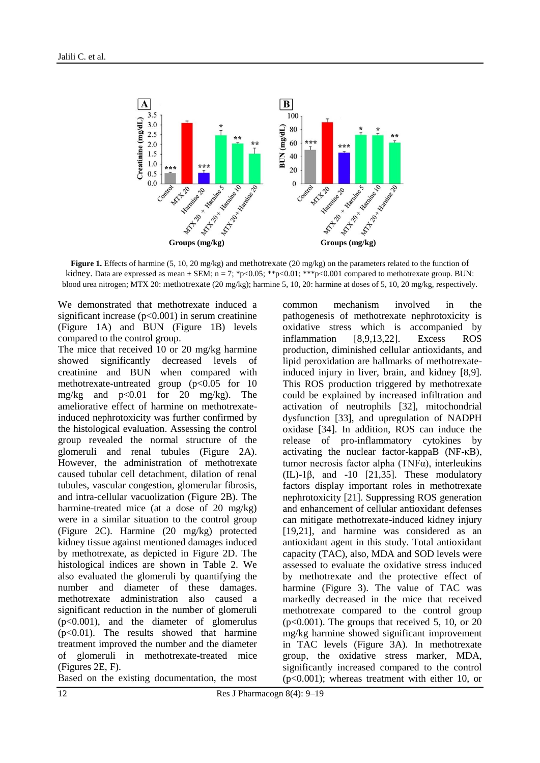

**Figure 1.** Effects of harmine (5, 10, 20 mg/kg) and methotrexate (20 mg/kg) on the parameters related to the function of kidney. Data are expressed as mean  $\pm$  SEM; n = 7; \*p<0.05; \*\*p<0.01; \*\*\*p<0.001 compared to methotrexate group. BUN: blood urea nitrogen; MTX 20: methotrexate (20 mg/kg); harmine 5, 10, 20: harmine at doses of 5, 10, 20 mg/kg, respectively.

We demonstrated that methotrexate induced a significant increase  $(p<0.001)$  in serum creatinine (Figure 1A) and BUN (Figure 1B) levels compared to the control group.

The mice that received 10 or 20 mg/kg harmine showed significantly decreased levels of creatinine and BUN when compared with methotrexate-untreated group  $(p<0.05$  for 10 mg/kg and  $p<0.01$  for 20 mg/kg). The ameliorative effect of harmine on methotrexateinduced nephrotoxicity was further confirmed by the histological evaluation. Assessing the control group revealed the normal structure of the glomeruli and renal tubules (Figure 2A). However, the administration of methotrexate caused tubular cell detachment, dilation of renal tubules, vascular congestion, glomerular fibrosis, and intra-cellular vacuolization (Figure 2B). The harmine-treated mice (at a dose of 20 mg/kg) were in a similar situation to the control group (Figure 2C). Harmine (20 mg/kg) protected kidney tissue against mentioned damages induced by methotrexate, as depicted in Figure 2D. The histological indices are shown in Table 2. We also evaluated the glomeruli by quantifying the number and diameter of these damages. methotrexate administration also caused a significant reduction in the number of glomeruli (p<0.001), and the diameter of glomerulus  $(p<0.01)$ . The results showed that harmine treatment improved the number and the diameter of glomeruli in methotrexate-treated mice (Figures 2E, F).

Based on the existing documentation, the most

common mechanism involved in the pathogenesis of methotrexate nephrotoxicity is oxidative stress which is accompanied by inflammation [8,9,13,22]. Excess ROS production, diminished cellular antioxidants, and lipid peroxidation are hallmarks of methotrexateinduced injury in liver, brain, and kidney [8,9]. This ROS production triggered by methotrexate could be explained by increased infiltration and activation of neutrophils [32], mitochondrial dysfunction [33], and upregulation of NADPH oxidase [34]. In addition, ROS can induce the release of pro-inflammatory cytokines by activating the nuclear factor-kappaB (NF-κB), tumor necrosis factor alpha (TNFα), interleukins (IL)-1 $\beta$ , and -10 [21,35]. These modulatory factors display important roles in methotrexate nephrotoxicity [21]. Suppressing ROS generation and enhancement of cellular antioxidant defenses can mitigate methotrexate-induced kidney injury [19,21], and harmine was considered as an antioxidant agent in this study. Total antioxidant capacity (TAC), also, MDA and SOD levels were assessed to evaluate the oxidative stress induced by methotrexate and the protective effect of harmine (Figure 3). The value of TAC was markedly decreased in the mice that received methotrexate compared to the control group  $(p<0.001)$ . The groups that received 5, 10, or 20 mg/kg harmine showed significant improvement in TAC levels (Figure 3A). In methotrexate group, the oxidative stress marker, MDA, significantly increased compared to the control (p<0.001); whereas treatment with either 10, or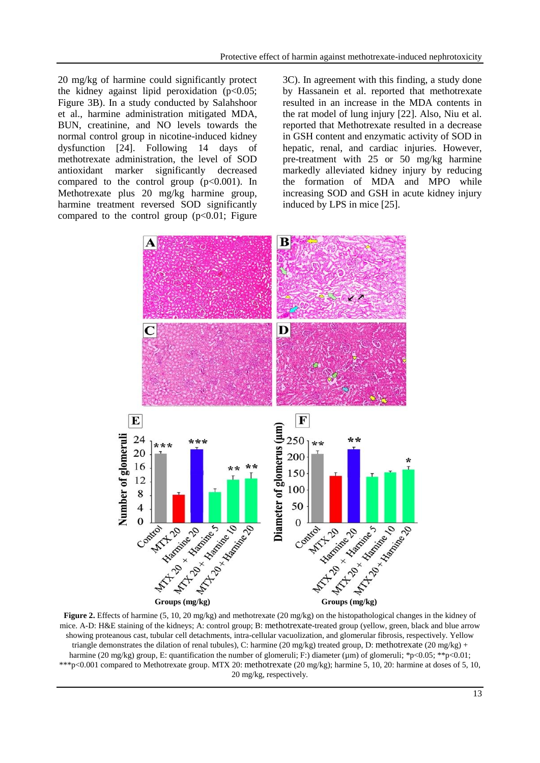20 mg/kg of harmine could significantly protect the kidney against lipid peroxidation ( $p<0.05$ ; Figure 3B). In a study conducted by Salahshoor et al., harmine administration mitigated MDA, BUN, creatinine, and NO levels towards the normal control group in nicotine-induced kidney dysfunction [24]. Following 14 days of methotrexate administration, the level of SOD antioxidant marker significantly decreased compared to the control group  $(p<0.001)$ . In Methotrexate plus 20 mg/kg harmine group, harmine treatment reversed SOD significantly compared to the control group  $(p<0.01$ ; Figure 3C). In agreement with this finding, a study done by Hassanein et al. reported that methotrexate resulted in an increase in the MDA contents in the rat model of lung injury [22]. Also, Niu et al. reported that Methotrexate resulted in a decrease in GSH content and enzymatic activity of SOD in hepatic, renal, and cardiac injuries. However, pre-treatment with 25 or 50 mg/kg harmine markedly alleviated kidney injury by reducing the formation of MDA and MPO while increasing SOD and GSH in acute kidney injury induced by LPS in mice [25].



**Figure 2.** Effects of harmine (5, 10, 20 mg/kg) and methotrexate (20 mg/kg) on the histopathological changes in the kidney of mice. A-D: H&E staining of the kidneys; A: control group; B: methotrexate-treated group (yellow, green, black and blue arrow showing proteanous cast, tubular cell detachments, intra-cellular vacuolization, and glomerular fibrosis, respectively. Yellow triangle demonstrates the dilation of renal tubules), C: harmine (20 mg/kg) treated group, D: methotrexate (20 mg/kg) + harmine (20 mg/kg) group, E: quantification the number of glomeruli; F:) diameter (µm) of glomeruli; \*p<0.05; \*\*p<0.01; \*\*\*p<0.001 compared to Methotrexate group. MTX 20: methotrexate (20 mg/kg); harmine 5, 10, 20: harmine at doses of 5, 10, 20 mg/kg, respectively.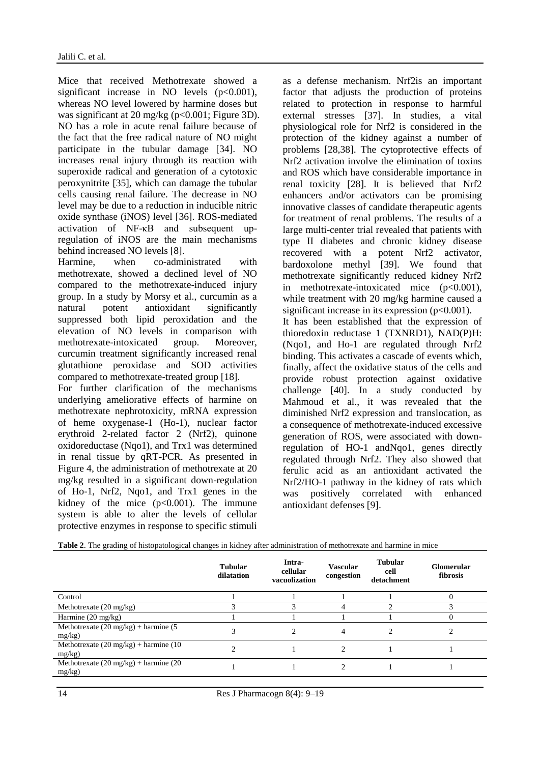Mice that received Methotrexate showed a significant increase in NO levels  $(p<0.001)$ , whereas NO level lowered by harmine doses but was significant at 20 mg/kg (p<0.001; Figure 3D). NO has a role in acute renal failure because of the fact that the free radical nature of NO might participate in the tubular damage [34]. NO increases renal injury through its reaction with superoxide radical and generation of a cytotoxic peroxynitrite [35], which can damage the tubular cells causing renal failure. The decrease in NO level may be due to a reduction in inducible nitric oxide synthase (iNOS) level [36]. ROS-mediated activation of NF-κB and subsequent upregulation of iNOS are the main mechanisms behind increased NO levels [8].

Harmine, when co-administrated with methotrexate, showed a declined level of NO compared to the methotrexate-induced injury group. In a study by Morsy et al., curcumin as a natural potent antioxidant significantly suppressed both lipid peroxidation and the elevation of NO levels in comparison with methotrexate-intoxicated group. Moreover, curcumin treatment significantly increased renal glutathione peroxidase and SOD activities compared to methotrexate-treated group [18]. For further clarification of the mechanisms underlying ameliorative effects of harmine on

methotrexate nephrotoxicity, mRNA expression of heme oxygenase-1 (Ho-1), nuclear factor erythroid 2-related factor 2 (Nrf2), quinone oxidoreductase (Nqo1), and Trx1 was determined in renal tissue by qRT-PCR. As presented in Figure 4, the administration of methotrexate at 20 mg/kg resulted in a significant down-regulation of Ho-1, Nrf2, Nqo1, and Trx1 genes in the kidney of the mice  $(p<0.001)$ . The immune system is able to alter the levels of cellular protective enzymes in response to specific stimuli as a defense mechanism. Nrf2is an important factor that adjusts the production of proteins related to protection in response to harmful external stresses [37]. In studies, a vital physiological role for Nrf2 is considered in the protection of the kidney against a number of problems [28,38]. The cytoprotective effects of Nrf2 activation involve the elimination of toxins and ROS which have considerable importance in renal toxicity [28]. It is believed that Nrf2 enhancers and/or activators can be promising innovative classes of candidate therapeutic agents for treatment of renal problems. The results of a large multi-center trial revealed that patients with type II diabetes and chronic kidney disease recovered with a potent Nrf2 activator, bardoxolone methyl [39]. We found that methotrexate significantly reduced kidney Nrf2 in methotrexate-intoxicated mice (p<0.001), while treatment with 20 mg/kg harmine caused a significant increase in its expression  $(p<0.001)$ . It has been established that the expression of thioredoxin reductase 1 (TXNRD1), NAD(P)H: (Nqo1, and Ho-1 are regulated through Nrf2 binding. This activates a cascade of events which, finally, affect the oxidative status of the cells and provide robust protection against oxidative challenge [40]. In a study conducted by Mahmoud et al., it was revealed that the diminished Nrf2 expression and translocation, as a consequence of methotrexate-induced excessive generation of ROS, were associated with downregulation of HO-1 andNqo1, genes directly regulated through Nrf2. They also showed that ferulic acid as an antioxidant activated the Nrf2/HO-1 pathway in the kidney of rats which was positively correlated with enhanced antioxidant defenses [9].

|                                                                     | <b>Tubular</b><br>dilatation | Intra-<br>cellular<br>vacuolization | Vascular<br>congestion | <b>Tubular</b><br>cell<br>detachment | <b>Glomerular</b><br>fibrosis |
|---------------------------------------------------------------------|------------------------------|-------------------------------------|------------------------|--------------------------------------|-------------------------------|
| Control                                                             |                              |                                     |                        |                                      | $\theta$                      |
| Methotrexate $(20 \text{ mg/kg})$                                   |                              |                                     | 4                      |                                      |                               |
| Harmine $(20 \text{ mg/kg})$                                        |                              |                                     |                        |                                      | $\Omega$                      |
| Methotrexate $(20 \text{ mg/kg}) + \text{harmine}$ (5)<br>$mg/kg$ ) |                              |                                     | 4                      |                                      |                               |
| Methotrexate $(20 \text{ mg/kg}) + \text{harmine} (10$<br>$mg/kg$ ) |                              |                                     | $\mathfrak{D}$         |                                      |                               |
| Methotrexate $(20 \text{ mg/kg}) + \text{harmine} (20$<br>$mg/kg$ ) |                              |                                     | ↑                      |                                      |                               |
|                                                                     |                              |                                     |                        |                                      |                               |

**Table 2**. The grading of histopatological changes in kidney after administration of methotrexate and harmine in mice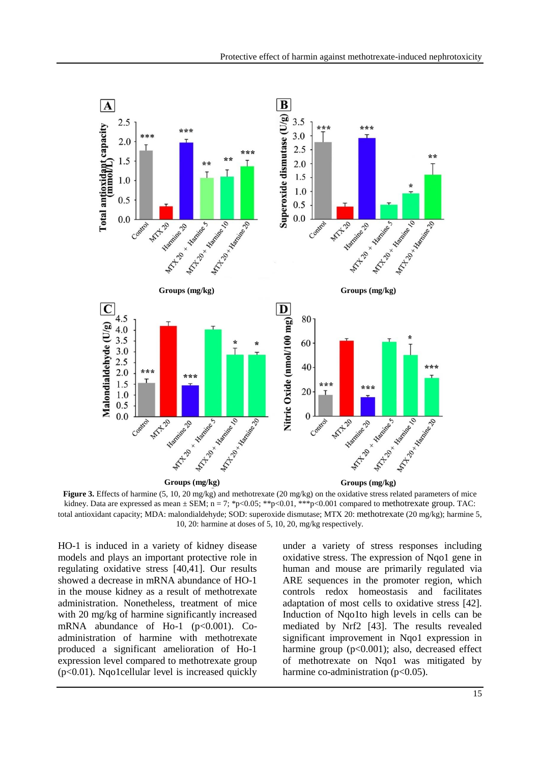

**Figure 3.** Effects of harmine (5, 10, 20 mg/kg) and methotrexate (20 mg/kg) on the oxidative stress related parameters of mice kidney. Data are expressed as mean  $\pm$  SEM; n = 7; \*p<0.05; \*\*p<0.01, \*\*\*p<0.001 compared to methotrexate group. TAC: total antioxidant capacity; MDA: malondialdehyde; SOD: superoxide dismutase; MTX 20: methotrexate (20 mg/kg); harmine 5, 10, 20: harmine at doses of 5, 10, 20, mg/kg respectively.

HO-1 is induced in a variety of kidney disease models and plays an important protective role in regulating oxidative stress [40,41]. Our results showed a decrease in mRNA abundance of HO-1 in the mouse kidney as a result of methotrexate administration. Nonetheless, treatment of mice with 20 mg/kg of harmine significantly increased mRNA abundance of Ho-1 ( $p<0.001$ ). Coadministration of harmine with methotrexate produced a significant amelioration of Ho-1 expression level compared to methotrexate group (p<0.01). Nqo1cellular level is increased quickly under a variety of stress responses including oxidative stress. The expression of Nqo1 gene in human and mouse are primarily regulated via ARE sequences in the promoter region, which controls redox homeostasis and facilitates adaptation of most cells to oxidative stress [42]. Induction of Nqo1to high levels in cells can be mediated by Nrf2 [43]. The results revealed significant improvement in Nqo1 expression in harmine group (p<0.001); also, decreased effect of methotrexate on Nqo1 was mitigated by harmine co-administration  $(p<0.05)$ .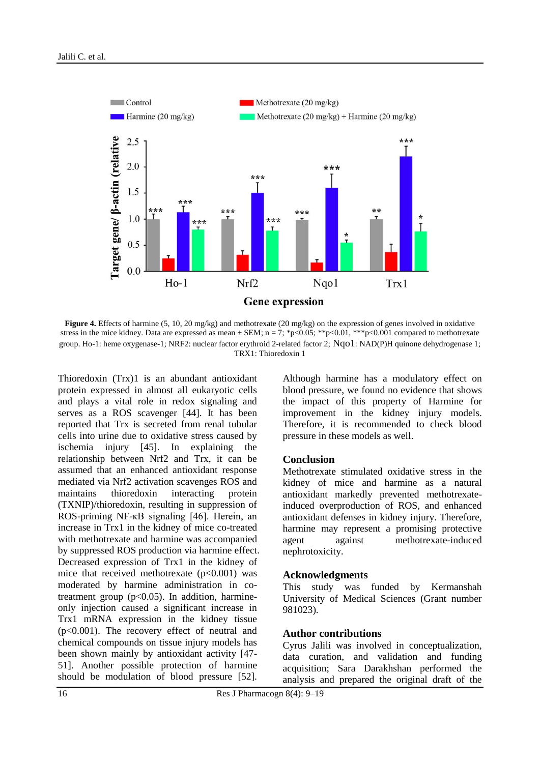

**Figure 4.** Effects of harmine (5, 10, 20 mg/kg) and methotrexate (20 mg/kg) on the expression of genes involved in oxidative stress in the mice kidney. Data are expressed as mean  $\pm$  SEM; n = 7; \*p<0.05; \*\*p<0.01, \*\*\*p<0.001 compared to methotrexate group. Ho-1: heme oxygenase-1; NRF2: nuclear factor erythroid 2-related factor 2; Nqo1: NAD(P)H quinone dehydrogenase 1; TRX1: Thioredoxin 1

Thioredoxin (Trx)1 is an abundant antioxidant protein expressed in almost all eukaryotic cells and plays a vital role in redox signaling and serves as a ROS scavenger [44]. It has been reported that Trx is secreted from renal tubular cells into urine due to oxidative stress caused by ischemia injury [45]. In explaining the relationship between Nrf2 and Trx, it can be assumed that an enhanced antioxidant response mediated via Nrf2 activation scavenges ROS and maintains thioredoxin interacting protein (TXNIP)/thioredoxin, resulting in suppression of ROS-priming NF-κB signaling [46]. Herein, an increase in Trx1 in the kidney of mice co-treated with methotrexate and harmine was accompanied by suppressed ROS production via harmine effect. Decreased expression of Trx1 in the kidney of mice that received methotrexate  $(p<0.001)$  was moderated by harmine administration in cotreatment group  $(p<0.05)$ . In addition, harmineonly injection caused a significant increase in Trx1 mRNA expression in the kidney tissue (p<0.001). The recovery effect of neutral and chemical compounds on tissue injury models has been shown mainly by antioxidant activity [47- 51]. Another possible protection of harmine should be modulation of blood pressure [52].

Although harmine has a modulatory effect on blood pressure, we found no evidence that shows the impact of this property of Harmine for improvement in the kidney injury models. Therefore, it is recommended to check blood pressure in these models as well.

### **Conclusion**

Methotrexate stimulated oxidative stress in the kidney of mice and harmine as a natural antioxidant markedly prevented methotrexateinduced overproduction of ROS, and enhanced antioxidant defenses in kidney injury. Therefore, harmine may represent a promising protective agent against methotrexate-induced nephrotoxicity.

#### **Acknowledgments**

This study was funded by Kermanshah University of Medical Sciences (Grant number 981023).

#### **Author contributions**

Cyrus Jalili was involved in conceptualization, data curation, and validation and funding acquisition; Sara Darakhshan performed the analysis and prepared the original draft of the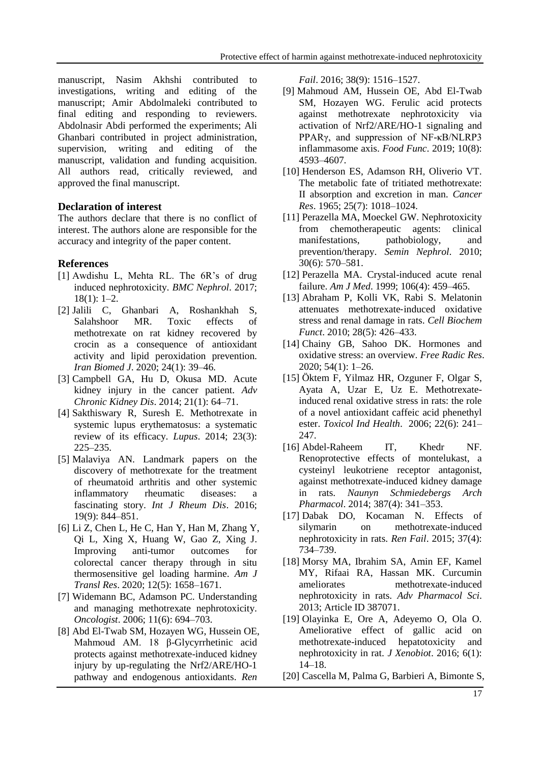manuscript, Nasim Akhshi contributed to investigations, writing and editing of the manuscript; Amir Abdolmaleki contributed to final editing and responding to reviewers. Abdolnasir Abdi performed the experiments; Ali Ghanbari contributed in project administration, supervision, writing and editing of the manuscript, validation and funding acquisition. All authors read, critically reviewed, and approved the final manuscript.

## **Declaration of interest**

The authors declare that there is no conflict of interest. The authors alone are responsible for the accuracy and integrity of the paper content.

## **References**

- [1] Awdishu L, Mehta RL. The 6R's of drug induced nephrotoxicity. *BMC Nephrol*. 2017; 18(1): 1–2.
- [2] Jalili C, Ghanbari A, Roshankhah S, Salahshoor MR. Toxic effects of methotrexate on rat kidney recovered by crocin as a consequence of antioxidant activity and lipid peroxidation prevention. *Iran Biomed J*. 2020; 24(1): 39–46.
- [3] Campbell GA, Hu D, Okusa MD. Acute kidney injury in the cancer patient. *Adv Chronic Kidney Dis*. 2014; 21(1): 64–71.
- [4] Sakthiswary R, Suresh E. Methotrexate in systemic lupus erythematosus: a systematic review of its efficacy. *Lupus*. 2014; 23(3): 225–235.
- [5] Malaviya AN. Landmark papers on the discovery of methotrexate for the treatment of rheumatoid arthritis and other systemic inflammatory rheumatic diseases: a fascinating story. *Int J Rheum Dis*. 2016; 19(9): 844–851.
- [6] Li Z, Chen L, He C, Han Y, Han M, Zhang Y, [Qi](https://www.ncbi.nlm.nih.gov/pubmed/?term=Qi%20L%5BAuthor%5D&cauthor=true&cauthor_uid=32509167) L, [Xing](https://www.ncbi.nlm.nih.gov/pubmed/?term=Xing%20X%5BAuthor%5D&cauthor=true&cauthor_uid=32509167) X, [Huang](https://www.ncbi.nlm.nih.gov/pubmed/?term=Huang%20W%5BAuthor%5D&cauthor=true&cauthor_uid=32509167) W, [Gao](https://www.ncbi.nlm.nih.gov/pubmed/?term=Gao%20Z%5BAuthor%5D&cauthor=true&cauthor_uid=32509167) Z, [Xing](https://www.ncbi.nlm.nih.gov/pubmed/?term=Xing%20J%5BAuthor%5D&cauthor=true&cauthor_uid=32509167) J. Improving anti-tumor outcomes for colorectal cancer therapy through in situ thermosensitive gel loading harmine. *Am J Transl Res*. 2020; 12(5): 1658–1671.
- [7] Widemann BC, Adamson PC. Understanding and managing methotrexate nephrotoxicity. *Oncologist*. 2006; 11(6): 694–703.
- [8] Abd El-Twab SM, Hozayen WG, Hussein OE, Mahmoud AM. 18 β-Glycyrrhetinic acid protects against methotrexate-induced kidney injury by up-regulating the Nrf2/ARE/HO-1 pathway and endogenous antioxidants. *Ren*

*Fail*. 2016; 38(9): 1516–1527.

- [9] Mahmoud AM, Hussein OE, Abd El-Twab SM, Hozayen WG. Ferulic acid protects against methotrexate nephrotoxicity via activation of Nrf2/ARE/HO-1 signaling and PPARγ, and suppression of NF-κB/NLRP3 inflammasome axis. *Food Func*. 2019; 10(8): 4593–4607.
- [10] Henderson ES, Adamson RH, Oliverio VT. The metabolic fate of tritiated methotrexate: II absorption and excretion in man. *Cancer Res*. 1965; 25(7): 1018–1024.
- [11] Perazella MA, Moeckel GW. Nephrotoxicity from chemotherapeutic agents: clinical manifestations, pathobiology, and prevention/therapy. *Semin Nephrol*. 2010; 30(6): 570–581.
- [12] Perazella MA. Crystal-induced acute renal failure. *Am J Med*. 1999; 106(4): 459–465.
- [13] Abraham P, Kolli VK, Rabi S. Melatonin attenuates methotrexate‐induced oxidative stress and renal damage in rats. *Cell Biochem Funct*. 2010; 28(5): 426–433.
- [14] Chainy GB, Sahoo DK. Hormones and oxidative stress: an overview. *Free Radic Res*. 2020; 54(1): 1–26.
- [15] Öktem F, Yilmaz HR, Ozguner F, Olgar S, Ayata A, Uzar E, [Uz](https://pubmed.ncbi.nlm.nih.gov/?term=Uz+E&cauthor_id=16924955) E. Methotrexateinduced renal oxidative stress in rats: the role of a novel antioxidant caffeic acid phenethyl ester. *Toxicol Ind Health*. 2006; 22(6): 241– 247.
- [16] Abdel-Raheem IT, Khedr NF. Renoprotective effects of montelukast, a cysteinyl leukotriene receptor antagonist, against methotrexate-induced kidney damage in rats. *Naunyn Schmiedebergs Arch Pharmacol*. 2014; 387(4): 341–353.
- [17] Dabak DO, Kocaman N. Effects of silymarin on methotrexate-induced nephrotoxicity in rats. *Ren Fail*. 2015; 37(4): 734–739.
- [18] Morsy MA, Ibrahim SA, Amin EF, Kamel MY, Rifaai RA, Hassan MK. Curcumin ameliorates methotrexate-induced nephrotoxicity in rats. *Adv Pharmacol Sci*. 2013; Article ID 387071.
- [19] Olayinka E, Ore A, Adeyemo O, Ola O. Ameliorative effect of gallic acid on methotrexate-induced hepatotoxicity and nephrotoxicity in rat. *J Xenobiot*. 2016; 6(1): 14–18.
- [20] Cascella M, Palma G, Barbieri A, Bimonte S,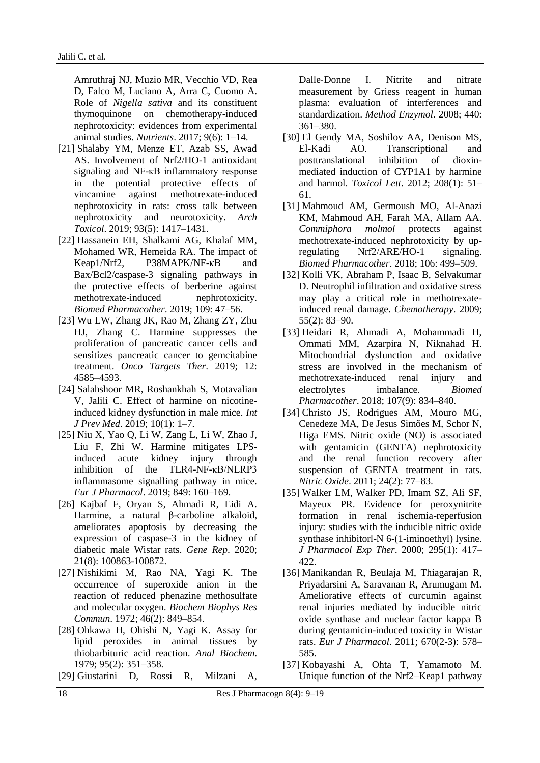Amruthraj NJ, Muzio MR, [Vecchio](https://pubmed.ncbi.nlm.nih.gov/?term=Del+Vecchio+V&cauthor_id=28629150) VD, [Rea](https://pubmed.ncbi.nlm.nih.gov/?term=Rea+D&cauthor_id=28629150) D, [Falco](https://pubmed.ncbi.nlm.nih.gov/?term=Falco+M&cauthor_id=28629150) M, [Luciano](https://pubmed.ncbi.nlm.nih.gov/?term=Luciano+A&cauthor_id=28629150) A, [Arra](https://pubmed.ncbi.nlm.nih.gov/?term=Arra+C&cauthor_id=28629150) C, [Cuomo](https://pubmed.ncbi.nlm.nih.gov/?term=Cuomo+A&cauthor_id=28629150) A. Role of *Nigella sativa* and its constituent thymoquinone on chemotherapy-induced nephrotoxicity: evidences from experimental animal studies. *Nutrients*. 2017; 9(6): 1–14.

- [21] Shalaby YM, Menze ET, Azab SS, Awad AS. Involvement of Nrf2/HO-1 antioxidant signaling and NF-κB inflammatory response in the potential protective effects of vincamine against methotrexate-induced nephrotoxicity in rats: cross talk between nephrotoxicity and neurotoxicity. *Arch Toxicol*. 2019; 93(5): 1417–1431.
- [22] Hassanein EH, Shalkami AG, Khalaf MM, Mohamed WR, Hemeida RA. The impact of Keap1/Nrf2, P38MAPK/NF-κB and Bax/Bcl2/caspase-3 signaling pathways in the protective effects of berberine against methotrexate-induced nephrotoxicity. *Biomed Pharmacother*. 2019; 109: 47–56.
- [23] Wu LW, Zhang JK, Rao M, Zhang ZY, Zhu HJ, Zhang C. Harmine suppresses the proliferation of pancreatic cancer cells and sensitizes pancreatic cancer to gemcitabine treatment. *Onco Targets Ther*. 2019; 12: 4585–4593.
- [24] Salahshoor MR, Roshankhah S, Motavalian V, Jalili C. Effect of harmine on nicotineinduced kidney dysfunction in male mice. *Int J Prev Med*. 2019; 10(1): 1–7.
- [25] Niu X, Yao Q, Li W, Zang L, Li W, Zhao J, [Liu](https://pubmed.ncbi.nlm.nih.gov/?term=Liu+F&cauthor_id=30716318) F, [Zhi](https://pubmed.ncbi.nlm.nih.gov/?term=Zhi+W&cauthor_id=30716318) W. Harmine mitigates LPSinduced acute kidney injury through inhibition of the TLR4-NF-κB/NLRP3 inflammasome signalling pathway in mice. *Eur J Pharmacol*. 2019; 849: 160–169.
- [26] Kajbaf F, Oryan S, Ahmadi R, Eidi A. Harmine, a natural β-carboline alkaloid, ameliorates apoptosis by decreasing the expression of caspase-3 in the kidney of diabetic male Wistar rats. *Gene Rep*. 2020; 21(8): 100863-100872.
- [27] Nishikimi M, Rao NA, Yagi K. The occurrence of superoxide anion in the reaction of reduced phenazine methosulfate and molecular oxygen. *Biochem Biophys Res Commun*. 1972; 46(2): 849–854.
- [28] Ohkawa H, Ohishi N, Yagi K. Assay for lipid peroxides in animal tissues by thiobarbituric acid reaction. *Anal Biochem*. 1979; 95(2): 351–358.
- [29] Giustarini D, Rossi R, Milzani A,

Dalle‐Donne I. Nitrite and nitrate measurement by Griess reagent in human plasma: evaluation of interferences and standardization. *Method Enzymol*. 2008; 440: 361–380.

- [30] El Gendy MA, Soshilov AA, Denison MS, El-Kadi AO. Transcriptional and posttranslational inhibition of dioxinmediated induction of CYP1A1 by harmine and harmol. *Toxicol Lett*. 2012; 208(1): 51– 61.
- [31] Mahmoud AM, Germoush MO, Al-Anazi KM, Mahmoud AH, Farah MA, Allam AA. *Commiphora molmol* protects against methotrexate-induced nephrotoxicity by upregulating Nrf2/ARE/HO-1 signaling. *Biomed Pharmacother*. 2018; 106: 499–509.
- [32] Kolli VK, Abraham P, Isaac B, Selvakumar D. Neutrophil infiltration and oxidative stress may play a critical role in methotrexateinduced renal damage. *Chemotherapy*. 2009; 55(2): 83–90.
- [33] Heidari R, Ahmadi A, Mohammadi H, Ommati MM, Azarpira N, Niknahad H. Mitochondrial dysfunction and oxidative stress are involved in the mechanism of methotrexate-induced renal injury and electrolytes imbalance. *Biomed Pharmacother*. 2018; 107(9): 834–840.
- [34] Christo JS, Rodrigues AM, Mouro MG, Cenedeze MA, De Jesus Simões M, Schor N, Higa EMS. Nitric oxide (NO) is associated with gentamicin (GENTA) nephrotoxicity and the renal function recovery after suspension of GENTA treatment in rats. *Nitric Oxide*. 2011; 24(2): 77–83.
- [35] Walker LM, Walker PD, Imam SZ, Ali SF, Mayeux PR. Evidence for peroxynitrite formation in renal ischemia-reperfusion injury: studies with the inducible nitric oxide synthase inhibitorl-N 6-(1-iminoethyl) lysine. *J Pharmacol Exp Ther*. 2000; 295(1): 417– 422.
- [36] Manikandan R, Beulaja M, Thiagarajan R, Priyadarsini A, Saravanan R, Arumugam M. Ameliorative effects of curcumin against renal injuries mediated by inducible nitric oxide synthase and nuclear factor kappa B during gentamicin-induced toxicity in Wistar rats. *Eur J Pharmacol*. 2011; 670(2-3): 578– 585.
- [37] Kobayashi A, Ohta T, Yamamoto M. Unique function of the Nrf2–Keap1 pathway